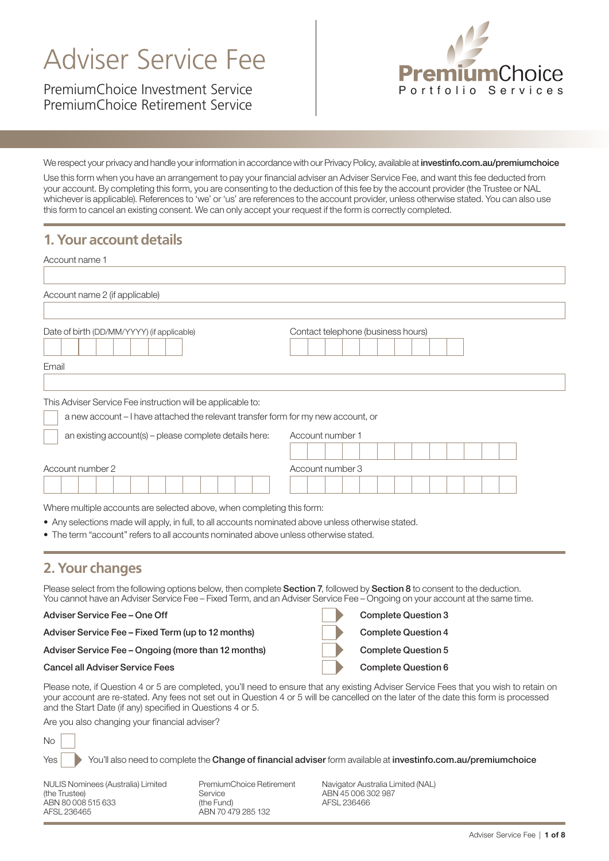# Adviser Service Fee

PremiumChoice Investment Service PremiumChoice Retirement Service



We respect your privacy and handle your information in accordance with our Privacy Policy, available at [investinfo.com.au/premiumchoice](http://investinfo.com.au/premiumchoice)

Use this form when you have an arrangement to pay your financial adviser an Adviser Service Fee, and want this fee deducted from your account. By completing this form, you are consenting to the deduction of this fee by the account provider (the Trustee or NAL whichever is applicable). References to 'we' or 'us' are references to the account provider, unless otherwise stated. You can also use this form to cancel an existing consent. We can only accept your request if the form is correctly completed.

## **1. Your account details**

| Account name 1                                                                    |                                    |
|-----------------------------------------------------------------------------------|------------------------------------|
|                                                                                   |                                    |
| Account name 2 (if applicable)                                                    |                                    |
|                                                                                   |                                    |
| Date of birth (DD/MM/YYYY) (if applicable)                                        | Contact telephone (business hours) |
| Email                                                                             |                                    |
|                                                                                   |                                    |
| This Adviser Service Fee instruction will be applicable to:                       |                                    |
| a new account – I have attached the relevant transfer form for my new account, or |                                    |
| an existing account(s) - please complete details here:                            | Account number 1                   |
| Account number 2                                                                  | Account number 3                   |
|                                                                                   |                                    |

Where multiple accounts are selected above, when completing this form:

- Any selections made will apply, in full, to all accounts nominated above unless otherwise stated.
- The term "account" refers to all accounts nominated above unless otherwise stated.

### **2. Your changes**

Please select from the following options below, then complete Section 7, followed by Section 8 to consent to the deduction. You cannot have an Adviser Service Fee – Fixed Term, and an Adviser Service Fee – Ongoing on your account at the same time.

Adviser Service Fee – One Off **Complete Question 3** Complete Question 3

Adviser Service Fee – Fixed Term (up to 12 months) Complete Question 4

Adviser Service Fee – Ongoing (more than 12 months) Complete Question 5

#### Cancel all Adviser Service Fees Complete Question 6

Please note, if Question 4 or 5 are completed, you'll need to ensure that any existing Adviser Service Fees that you wish to retain on your account are re-stated. Any fees not set out in Question 4 or 5 will be cancelled on the later of the date this form is processed and the Start Date (if any) specified in Questions 4 or 5.

Are you also changing your financial adviser?



Yes You'll also need to complete the Change of financial adviser form available at [investinfo.com.au/premiumchoice](http://investinfo.com.au/premiumchoice)

NULIS Nominees (Australia) Limited (the Trustee) ABN 80 008 515 633 AFSL 236465

PremiumChoice Retirement Service (the Fund) ABN 70 479 285 132

Navigator Australia Limited (NAL) ABN 45 006 302 987 AFSL 236466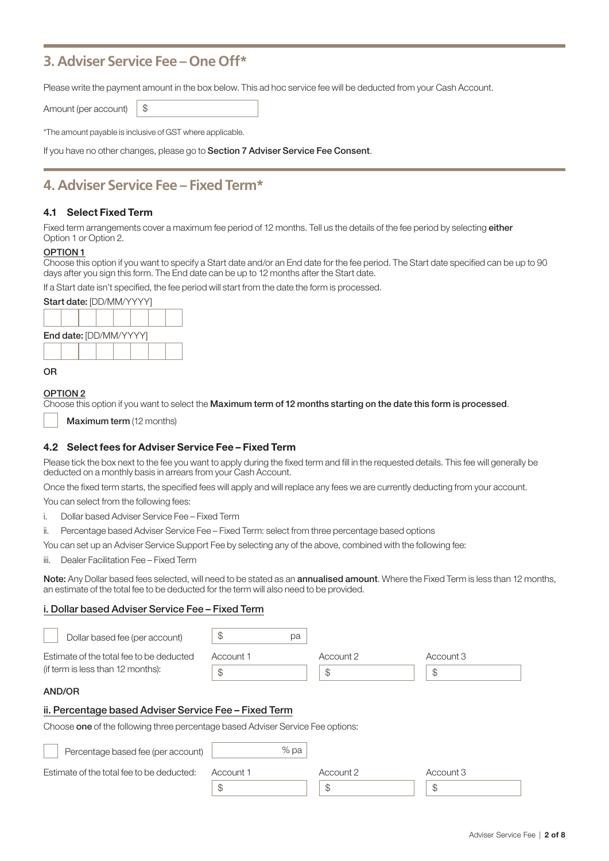# **3. Adviser Service Fee – One Off\***

Please write the payment amount in the box below. This ad hoc service fee will be deducted from your Cash Account.

Amount (per account)  $\frac{1}{3}$ 

\*The amount payable is inclusive of GST where applicable.

If you have no other changes, please go to Section 7 Adviser Service Fee Consent.

### **4. Adviser Service Fee – Fixed Term\***

#### 4.1 Select Fixed Term

Fixed term arrangements cover a maximum fee period of 12 months. Tell us the details of the fee period by selecting either Option 1 or Option 2.

#### OPTION 1

Choose this option if you want to specify a Start date and/or an End date for the fee period. The Start date specified can be up to 90 days after you sign this form. The End date can be up to 12 months after the Start date.

If a Start date isn't specified, the fee period will start from the date the form is processed.

| <b>Start date: [DD/MM/YYYY]</b> |  |  |  |  |  |  |  |  |
|---------------------------------|--|--|--|--|--|--|--|--|
|                                 |  |  |  |  |  |  |  |  |
| End date: [DD/MM/YYYY]          |  |  |  |  |  |  |  |  |
|                                 |  |  |  |  |  |  |  |  |
|                                 |  |  |  |  |  |  |  |  |

### OR

#### OPTION 2

Choose this option if you want to select the Maximum term of 12 months starting on the date this form is processed.

Maximum term (12 months)

### 4.2 Select fees for Adviser Service Fee – Fixed Term

Please tick the box next to the fee you want to apply during the fixed term and fill in the requested details. This fee will generally be deducted on a monthly basis in arrears from your Cash Account.

Once the fixed term starts, the specified fees will apply and will replace any fees we are currently deducting from your account.

You can select from the following fees:

- i. Dollar based Adviser Service Fee Fixed Term
- ii. Percentage based Adviser Service Fee Fixed Term: select from three percentage based options

You can set up an Adviser Service Support Fee by selecting any of the above, combined with the following fee:

iii. Dealer Facilitation Fee – Fixed Term

Note: Any Dollar based fees selected, will need to be stated as an annualised amount. Where the Fixed Term is less than 12 months, an estimate of the total fee to be deducted for the term will also need to be provided.

### i. Dollar based Adviser Service Fee – Fixed Term

| Dollar based fee (per account)                                                  | \$<br>рa        |                |                 |
|---------------------------------------------------------------------------------|-----------------|----------------|-----------------|
| Estimate of the total fee to be deducted<br>(if term is less than 12 months):   | Account 1<br>\$ | Account 2<br>S | Account 3<br>\$ |
| AND/OR                                                                          |                 |                |                 |
| ii. Percentage based Adviser Service Fee - Fixed Term                           |                 |                |                 |
| Choose one of the following three percentage based Adviser Service Fee options: |                 |                |                 |
| Percentage based fee (per account)                                              | % pa            |                |                 |
| Estimate of the total fee to be deducted:                                       | Account 1       | Account 2      | Account 3       |
|                                                                                 | \$              | \$             | \$              |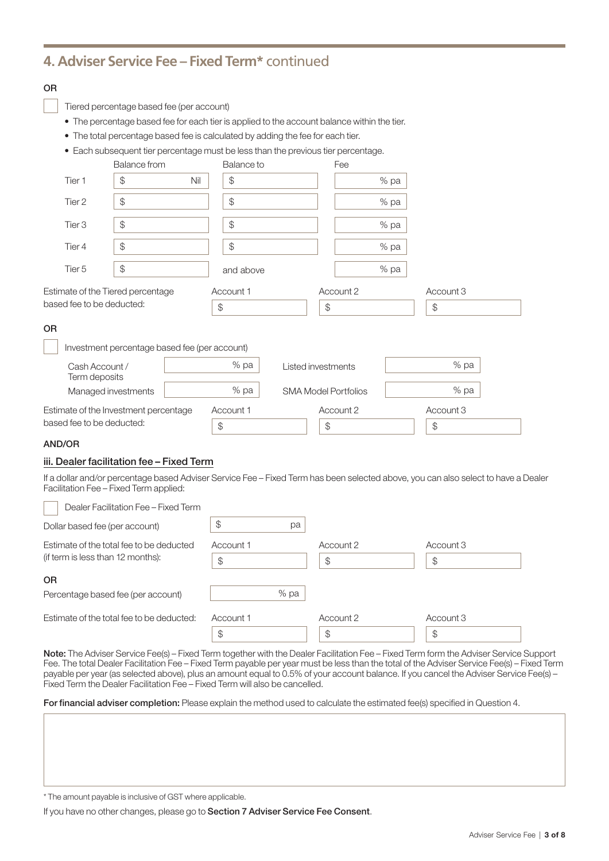# **4. Adviser Service Fee – Fixed Term\*** continued

### OR

Tiered percentage based fee (per account)

- The percentage based fee for each tier is applied to the account balance within the tier.
- The total percentage based fee is calculated by adding the fee for each tier.
- Each subsequent tier percentage must be less than the previous tier percentage.

|                                   | <b>Balance from</b>                           | Balance to                                    |                             | Fee       |               |
|-----------------------------------|-----------------------------------------------|-----------------------------------------------|-----------------------------|-----------|---------------|
| Tier 1                            | $\frac{1}{2}$<br>Nil                          | $\, \, \raisebox{12pt}{$\scriptstyle \circ$}$ |                             | % pa      |               |
| Tier 2                            | $$\mathbb{S}$$                                | $\frac{1}{2}$                                 |                             | % pa      |               |
| Tier 3                            | $$\mathbb{S}$$                                | $\, \, \raisebox{12pt}{$\scriptstyle \circ$}$ |                             | % pa      |               |
| Tier 4                            | $$\mathbb{S}$$                                | $\, \, \raisebox{12pt}{$\scriptstyle \circ$}$ |                             | % pa      |               |
| Tier 5                            | $\, \, \raisebox{12pt}{$\scriptstyle \circ$}$ | and above                                     |                             | % pa      |               |
| Estimate of the Tiered percentage |                                               | Account 1                                     |                             | Account 2 | Account 3     |
| based fee to be deducted:         |                                               | \$                                            | $$\mathbb{S}$$              |           | $\frac{1}{2}$ |
| 0R                                |                                               |                                               |                             |           |               |
|                                   | Investment percentage based fee (per account) |                                               |                             |           |               |
| Cash Account /<br>Term deposits   |                                               | % pa                                          | Listed investments          |           | % pa          |
|                                   | Managed investments                           | % pa                                          | <b>SMA Model Portfolios</b> |           | % pa          |
|                                   | Estimate of the Investment percentage         | Account 1                                     |                             | Account 2 | Account 3     |
| based fee to be deducted:         |                                               | $\mathcal{L}$                                 | \$                          |           | \$            |
|                                   |                                               |                                               |                             |           |               |

#### AND/OR

#### iii. Dealer facilitation fee - Fixed Term

If a dollar and/or percentage based Adviser Service Fee – Fixed Term has been selected above, you can also select to have a Dealer Facilitation Fee – Fixed Term applied:

| Dealer Facilitation Fee - Fixed Term                                          |                 |                 |                 |
|-------------------------------------------------------------------------------|-----------------|-----------------|-----------------|
| Dollar based fee (per account)                                                | S<br>pa         |                 |                 |
| Estimate of the total fee to be deducted<br>(if term is less than 12 months): | Account 1<br>\$ | Account 2<br>\$ | Account 3<br>\$ |
| <b>OR</b><br>Percentage based fee (per account)                               | % pa            |                 |                 |
| Estimate of the total fee to be deducted:                                     | Account 1<br>\$ | Account 2<br>\$ | Account 3<br>\$ |

Note: The Adviser Service Fee(s) – Fixed Term together with the Dealer Facilitation Fee – Fixed Term form the Adviser Service Support Fee. The total Dealer Facilitation Fee – Fixed Term payable per year must be less than the total of the Adviser Service Fee(s) – Fixed Term payable per year (as selected above), plus an amount equal to 0.5% of your account balance. If you cancel the Adviser Service Fee(s) – Fixed Term the Dealer Facilitation Fee – Fixed Term will also be cancelled.

For financial adviser completion: Please explain the method used to calculate the estimated fee(s) specified in Question 4.

\* The amount payable is inclusive of GST where applicable.

If you have no other changes, please go to Section 7 Adviser Service Fee Consent.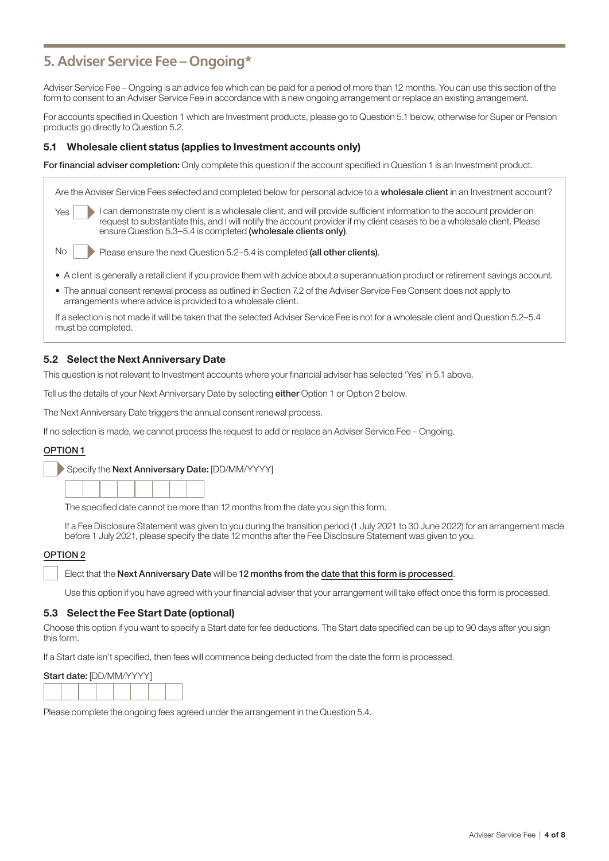### **5. Adviser Service Fee – Ongoing\***

Adviser Service Fee – Ongoing is an advice fee which can be paid for a period of more than 12 months. You can use this section of the form to consent to an Adviser Service Fee in accordance with a new ongoing arrangement or replace an existing arrangement.

For accounts specified in Question 1 which are Investment products, please go to Question 5.1 below, otherwise for Super or Pension products go directly to Question 5.2.

#### 5.1 Wholesale client status (applies to Investment accounts only)

For financial adviser completion: Only complete this question if the account specified in Question 1 is an Investment product.

| Are the Adviser Service Fees selected and completed below for personal advice to a wholesale client in an Investment account?                                                                                                                                                                                               |
|-----------------------------------------------------------------------------------------------------------------------------------------------------------------------------------------------------------------------------------------------------------------------------------------------------------------------------|
| I can demonstrate my client is a wholesale client, and will provide sufficient information to the account provider on<br>Yes<br>request to substantiate this, and I will notify the account provider if my client ceases to be a wholesale client. Please<br>ensure Question 5.3-5.4 is completed (wholesale clients only). |
| Please ensure the next Question 5.2-5.4 is completed (all other clients).<br>No                                                                                                                                                                                                                                             |
| • A client is generally a retail client if you provide them with advice about a superannuation product or retirement savings account.                                                                                                                                                                                       |
| • The annual consent renewal process as outlined in Section 7.2 of the Adviser Service Fee Consent does not apply to<br>arrangements where advice is provided to a wholesale client.                                                                                                                                        |

If a selection is not made it will be taken that the selected Adviser Service Fee is not for a wholesale client and Question 5.2–5.4 must be completed.

#### 5.2 Select the Next Anniversary Date

This question is not relevant to Investment accounts where your financial adviser has selected 'Yes' in 5.1 above.

Tell us the details of your Next Anniversary Date by selecting either Option 1 or Option 2 below.

The Next Anniversary Date triggers the annual consent renewal process.

If no selection is made, we cannot process the request to add or replace an Adviser Service Fee – Ongoing.

#### OPTION 1

Specify the Next Anniversary Date: [DD/MM/YYYY]

|  |  |  | the contract of the contract of |  |
|--|--|--|---------------------------------|--|

The specified date cannot be more than 12 months from the date you sign this form.

 If a Fee Disclosure Statement was given to you during the transition period (1 July 2021 to 30 June 2022) for an arrangement made before 1 July 2021, please specify the date 12 months after the Fee Disclosure Statement was given to you.

#### OPTION 2

Elect that the Next Anniversary Date will be 12 months from the date that this form is processed.

Use this option if you have agreed with your financial adviser that your arrangement will take effect once this form is processed.

### 5.3 Select the Fee Start Date (optional)

Choose this option if you want to specify a Start date for fee deductions. The Start date specified can be up to 90 days after you sign this form.

If a Start date isn't specified, then fees will commence being deducted from the date the form is processed.

| Start date: [DD/MM/YYYY] |  |  |  |  |  |  |  |
|--------------------------|--|--|--|--|--|--|--|
|                          |  |  |  |  |  |  |  |

Please complete the ongoing fees agreed under the arrangement in the Question 5.4.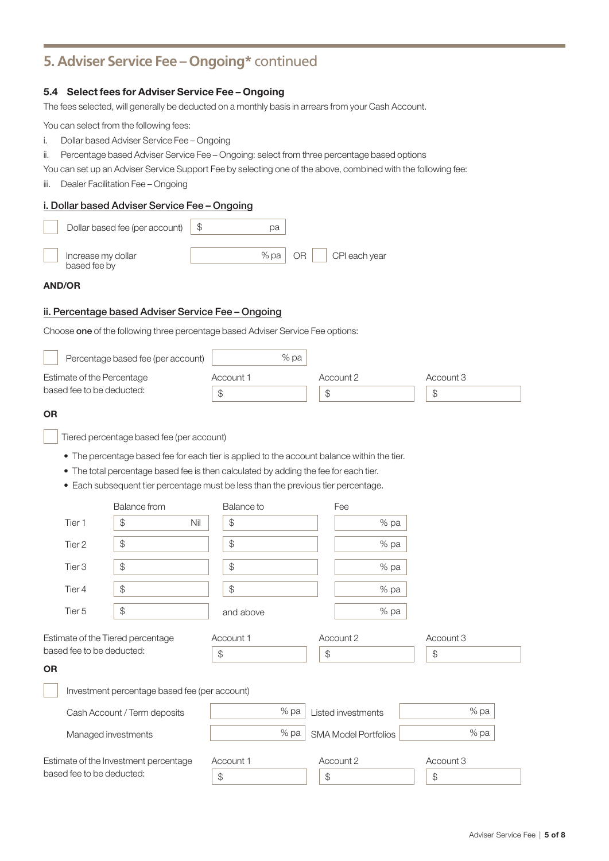# **5. Adviser Service Fee – Ongoing\*** continued

#### 5.4 Select fees for Adviser Service Fee – Ongoing

The fees selected, will generally be deducted on a monthly basis in arrears from your Cash Account.

You can select from the following fees:

- i. Dollar based Adviser Service Fee Ongoing
- ii. Percentage based Adviser Service Fee Ongoing: select from three percentage based options

You can set up an Adviser Service Support Fee by selecting one of the above, combined with the following fee:

iii. Dealer Facilitation Fee – Ongoing

#### i. Dollar based Adviser Service Fee – Ongoing

| Dollar based fee (per account)     | pа   |      |               |
|------------------------------------|------|------|---------------|
| Increase my dollar<br>based fee by | % pa | OR I | CPI each year |

#### AND/OR

### ii. Percentage based Adviser Service Fee – Ongoing

Choose one of the following three percentage based Adviser Service Fee options:

| Percentage based fee (per account) | % pa      |           |           |  |
|------------------------------------|-----------|-----------|-----------|--|
| Estimate of the Percentage         | Account 1 | Account 2 | Account 3 |  |
| based fee to be deducted:          | S         |           |           |  |

### OR

Tiered percentage based fee (per account)

• The percentage based fee for each tier is applied to the account balance within the tier.

- The total percentage based fee is then calculated by adding the fee for each tier.
- Each subsequent tier percentage must be less than the previous tier percentage.

|                                                                | Balance from                                  | <b>Balance to</b>                             | Fee                                           |                            |
|----------------------------------------------------------------|-----------------------------------------------|-----------------------------------------------|-----------------------------------------------|----------------------------|
| Tier 1                                                         | $\frac{1}{2}$<br>Nil                          | $\, \, \raisebox{12pt}{$\scriptstyle \circ$}$ | % pa                                          |                            |
| Tier 2                                                         | $$\mathbb{S}$$                                | $\frac{1}{2}$                                 | % pa                                          |                            |
| Tier <sub>3</sub>                                              | $$\mathbb{S}$$                                | $\, \, \raisebox{12pt}{$\scriptstyle \circ$}$ | % pa                                          |                            |
| Tier 4                                                         | $$\mathbb{S}$$                                | $\frac{1}{2}$                                 | % pa                                          |                            |
| Tier 5                                                         | $$\mathbb{S}$$                                | and above                                     | % pa                                          |                            |
| Estimate of the Tiered percentage<br>based fee to be deducted: |                                               | Account 1<br>\$                               | Account 2<br>$\frac{1}{2}$                    | Account 3<br>$\mathcal{L}$ |
| <b>OR</b>                                                      |                                               |                                               |                                               |                            |
|                                                                | Investment percentage based fee (per account) |                                               |                                               |                            |
|                                                                | Cash Account / Term deposits                  | % pa                                          | Listed investments                            | % pa                       |
|                                                                | Managed investments                           | % pa                                          | <b>SMA Model Portfolios</b>                   | % pa                       |
|                                                                | Estimate of the Investment percentage         | Account 1                                     | Account 2                                     | Account 3                  |
| based fee to be deducted:                                      |                                               | $\frac{1}{2}$                                 | $\, \, \raisebox{12pt}{$\scriptstyle \circ$}$ | $\frac{1}{2}$              |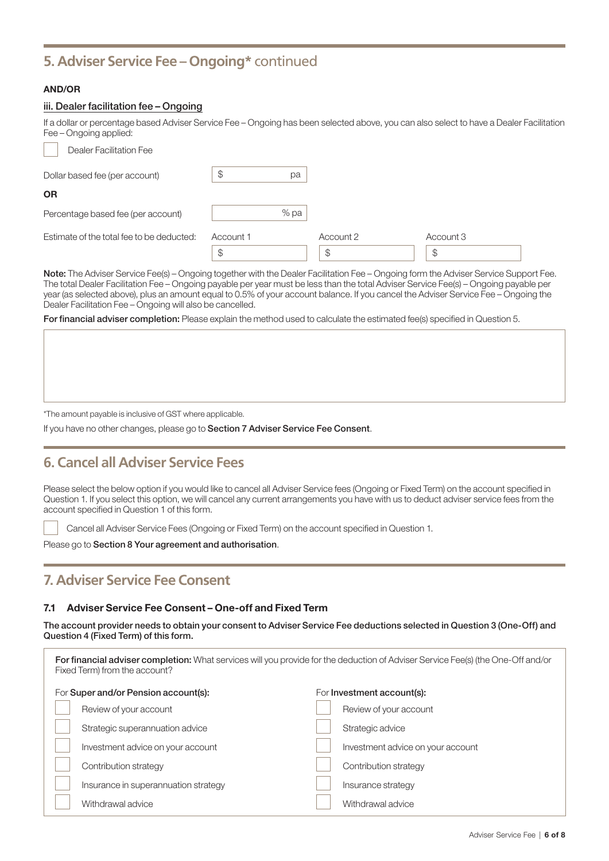# **5. Adviser Service Fee – Ongoing\*** continued

#### AND/OR

### iii. Dealer facilitation fee – Ongoing

If a dollar or percentage based Adviser Service Fee – Ongoing has been selected above, you can also select to have a Dealer Facilitation Fee – Ongoing applied:

| Dollar based fee (per account)            | S<br>pa   |           |           |
|-------------------------------------------|-----------|-----------|-----------|
| <b>OR</b>                                 |           |           |           |
| Percentage based fee (per account)        | % pa      |           |           |
| Estimate of the total fee to be deducted: | Account 1 | Account 2 | Account 3 |
|                                           | S         |           | \$        |

Note: The Adviser Service Fee(s) – Ongoing together with the Dealer Facilitation Fee – Ongoing form the Adviser Service Support Fee. The total Dealer Facilitation Fee – Ongoing payable per year must be less than the total Adviser Service Fee(s) – Ongoing payable per year (as selected above), plus an amount equal to 0.5% of your account balance. If you cancel the Adviser Service Fee – Ongoing the Dealer Facilitation Fee – Ongoing will also be cancelled.

For financial adviser completion: Please explain the method used to calculate the estimated fee(s) specified in Question 5.

\*The amount payable is inclusive of GST where applicable.

If you have no other changes, please go to Section 7 Adviser Service Fee Consent.

### **6. Cancel all Adviser Service Fees**

Please select the below option if you would like to cancel all Adviser Service fees (Ongoing or Fixed Term) on the account specified in Question 1. If you select this option, we will cancel any current arrangements you have with us to deduct adviser service fees from the account specified in Question 1 of this form.

Cancel all Adviser Service Fees (Ongoing or Fixed Term) on the account specified in Question 1.

Please go to Section 8 Your agreement and authorisation.

### **7. Adviser Service Fee Consent**

#### 7.1 Adviser Service Fee Consent – One-off and Fixed Term

The account provider needs to obtain your consent to Adviser Service Fee deductions selected in Question 3 (One-Off) and Question 4 (Fixed Term) of this form.

| For financial adviser completion: What services will you provide for the deduction of Adviser Service Fee(s) (the One-Off and/or<br>Fixed Term) from the account? |                                      |  |                                   |  |  |
|-------------------------------------------------------------------------------------------------------------------------------------------------------------------|--------------------------------------|--|-----------------------------------|--|--|
|                                                                                                                                                                   | For Super and/or Pension account(s): |  | For <b>Investment account(s):</b> |  |  |
|                                                                                                                                                                   | Review of your account               |  | Review of your account            |  |  |
|                                                                                                                                                                   | Strategic superannuation advice      |  | Strategic advice                  |  |  |
|                                                                                                                                                                   | Investment advice on your account    |  | Investment advice on your account |  |  |
|                                                                                                                                                                   | Contribution strategy                |  | Contribution strategy             |  |  |
|                                                                                                                                                                   | Insurance in superannuation strategy |  | Insurance strategy                |  |  |
|                                                                                                                                                                   | Withdrawal advice                    |  | Withdrawal advice                 |  |  |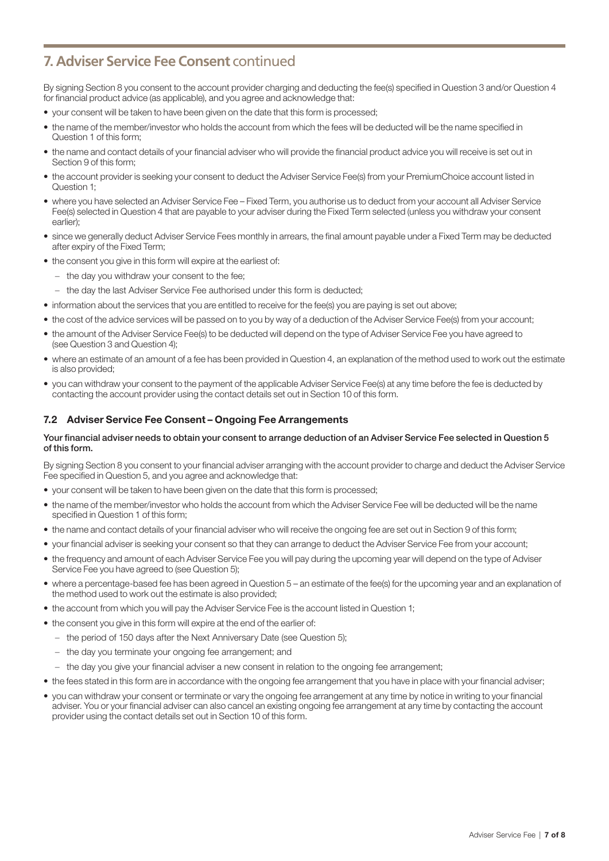# **7. Adviser Service Fee Consent** continued

By signing Section 8 you consent to the account provider charging and deducting the fee(s) specified in Question 3 and/or Question 4 for financial product advice (as applicable), and you agree and acknowledge that:

- your consent will be taken to have been given on the date that this form is processed;
- the name of the member/investor who holds the account from which the fees will be deducted will be the name specified in Question 1 of this form;
- the name and contact details of your financial adviser who will provide the financial product advice you will receive is set out in Section 9 of this form;
- the account provider is seeking your consent to deduct the Adviser Service Fee(s) from your PremiumChoice account listed in Question 1;
- where you have selected an Adviser Service Fee Fixed Term, you authorise us to deduct from your account all Adviser Service Fee(s) selected in Question 4 that are payable to your adviser during the Fixed Term selected (unless you withdraw your consent earlier);
- since we generally deduct Adviser Service Fees monthly in arrears, the final amount payable under a Fixed Term may be deducted after expiry of the Fixed Term;
- the consent you give in this form will expire at the earliest of:
	- the day you withdraw your consent to the fee;
	- the day the last Adviser Service Fee authorised under this form is deducted;
- information about the services that you are entitled to receive for the fee(s) you are paying is set out above;
- the cost of the advice services will be passed on to you by way of a deduction of the Adviser Service Fee(s) from your account;
- the amount of the Adviser Service Fee(s) to be deducted will depend on the type of Adviser Service Fee you have agreed to (see Question 3 and Question 4);
- where an estimate of an amount of a fee has been provided in Question 4, an explanation of the method used to work out the estimate is also provided;
- you can withdraw your consent to the payment of the applicable Adviser Service Fee(s) at any time before the fee is deducted by contacting the account provider using the contact details set out in Section 10 of this form.

#### 7.2 Adviser Service Fee Consent – Ongoing Fee Arrangements

#### Your financial adviser needs to obtain your consent to arrange deduction of an Adviser Service Fee selected in Question 5 of this form.

By signing Section 8 you consent to your financial adviser arranging with the account provider to charge and deduct the Adviser Service Fee specified in Question 5, and you agree and acknowledge that:

- your consent will be taken to have been given on the date that this form is processed;
- the name of the member/investor who holds the account from which the Adviser Service Fee will be deducted will be the name specified in Question 1 of this form;
- the name and contact details of your financial adviser who will receive the ongoing fee are set out in Section 9 of this form;
- your financial adviser is seeking your consent so that they can arrange to deduct the Adviser Service Fee from your account;
- the frequency and amount of each Adviser Service Fee you will pay during the upcoming year will depend on the type of Adviser Service Fee you have agreed to (see Question 5);
- where a percentage-based fee has been agreed in Question 5 an estimate of the fee(s) for the upcoming year and an explanation of the method used to work out the estimate is also provided;
- the account from which you will pay the Adviser Service Fee is the account listed in Question 1;
- the consent you give in this form will expire at the end of the earlier of:
	- the period of 150 days after the Next Anniversary Date (see Question 5);
	- the day you terminate your ongoing fee arrangement; and
	- the day you give your financial adviser a new consent in relation to the ongoing fee arrangement;
- the fees stated in this form are in accordance with the ongoing fee arrangement that you have in place with your financial adviser;
- you can withdraw your consent or terminate or vary the ongoing fee arrangement at any time by notice in writing to your financial adviser. You or your financial adviser can also cancel an existing ongoing fee arrangement at any time by contacting the account provider using the contact details set out in Section 10 of this form.